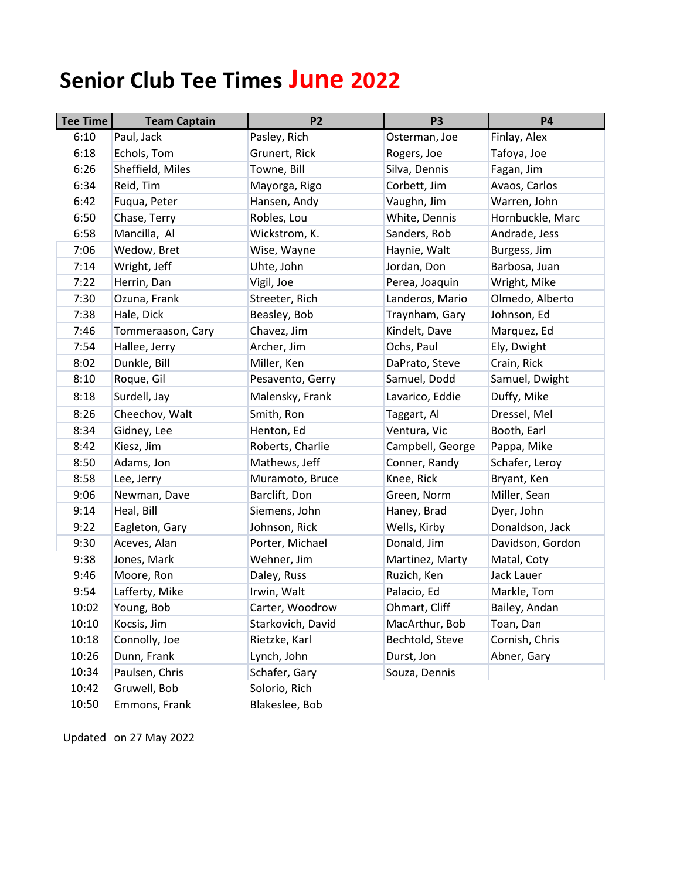## **Senior Club Tee Times June 2022**

| <b>Tee Time</b> | <b>Team Captain</b> | P <sub>2</sub>    | P <sub>3</sub>   | <b>P4</b>        |
|-----------------|---------------------|-------------------|------------------|------------------|
| 6:10            | Paul, Jack          | Pasley, Rich      | Osterman, Joe    | Finlay, Alex     |
| 6:18            | Echols, Tom         | Grunert, Rick     | Rogers, Joe      | Tafoya, Joe      |
| 6:26            | Sheffield, Miles    | Towne, Bill       | Silva, Dennis    | Fagan, Jim       |
| 6:34            | Reid, Tim           | Mayorga, Rigo     | Corbett, Jim     | Avaos, Carlos    |
| 6:42            | Fuqua, Peter        | Hansen, Andy      | Vaughn, Jim      | Warren, John     |
| 6:50            | Chase, Terry        | Robles, Lou       | White, Dennis    | Hornbuckle, Marc |
| 6:58            | Mancilla, Al        | Wickstrom, K.     | Sanders, Rob     | Andrade, Jess    |
| 7:06            | Wedow, Bret         | Wise, Wayne       | Haynie, Walt     | Burgess, Jim     |
| 7:14            | Wright, Jeff        | Uhte, John        | Jordan, Don      | Barbosa, Juan    |
| 7:22            | Herrin, Dan         | Vigil, Joe        | Perea, Joaquin   | Wright, Mike     |
| 7:30            | Ozuna, Frank        | Streeter, Rich    | Landeros, Mario  | Olmedo, Alberto  |
| 7:38            | Hale, Dick          | Beasley, Bob      | Traynham, Gary   | Johnson, Ed      |
| 7:46            | Tommeraason, Cary   | Chavez, Jim       | Kindelt, Dave    | Marquez, Ed      |
| 7:54            | Hallee, Jerry       | Archer, Jim       | Ochs, Paul       | Ely, Dwight      |
| 8:02            | Dunkle, Bill        | Miller, Ken       | DaPrato, Steve   | Crain, Rick      |
| 8:10            | Roque, Gil          | Pesavento, Gerry  | Samuel, Dodd     | Samuel, Dwight   |
| 8:18            | Surdell, Jay        | Malensky, Frank   | Lavarico, Eddie  | Duffy, Mike      |
| 8:26            | Cheechov, Walt      | Smith, Ron        | Taggart, Al      | Dressel, Mel     |
| 8:34            | Gidney, Lee         | Henton, Ed        | Ventura, Vic     | Booth, Earl      |
| 8:42            | Kiesz, Jim          | Roberts, Charlie  | Campbell, George | Pappa, Mike      |
| 8:50            | Adams, Jon          | Mathews, Jeff     | Conner, Randy    | Schafer, Leroy   |
| 8:58            | Lee, Jerry          | Muramoto, Bruce   | Knee, Rick       | Bryant, Ken      |
| 9:06            | Newman, Dave        | Barclift, Don     | Green, Norm      | Miller, Sean     |
| 9:14            | Heal, Bill          | Siemens, John     | Haney, Brad      | Dyer, John       |
| 9:22            | Eagleton, Gary      | Johnson, Rick     | Wells, Kirby     | Donaldson, Jack  |
| 9:30            | Aceves, Alan        | Porter, Michael   | Donald, Jim      | Davidson, Gordon |
| 9:38            | Jones, Mark         | Wehner, Jim       | Martinez, Marty  | Matal, Coty      |
| 9:46            | Moore, Ron          | Daley, Russ       | Ruzich, Ken      | Jack Lauer       |
| 9:54            | Lafferty, Mike      | Irwin, Walt       | Palacio, Ed      | Markle, Tom      |
| 10:02           | Young, Bob          | Carter, Woodrow   | Ohmart, Cliff    | Bailey, Andan    |
| 10:10           | Kocsis, Jim         | Starkovich, David | MacArthur, Bob   | Toan, Dan        |
| 10:18           | Connolly, Joe       | Rietzke, Karl     | Bechtold, Steve  | Cornish, Chris   |
| 10:26           | Dunn, Frank         | Lynch, John       | Durst, Jon       | Abner, Gary      |
| 10:34           | Paulsen, Chris      | Schafer, Gary     | Souza, Dennis    |                  |
| 10:42           | Gruwell, Bob        | Solorio, Rich     |                  |                  |
| 10:50           | Emmons, Frank       | Blakeslee, Bob    |                  |                  |

Updated on 27 May 2022